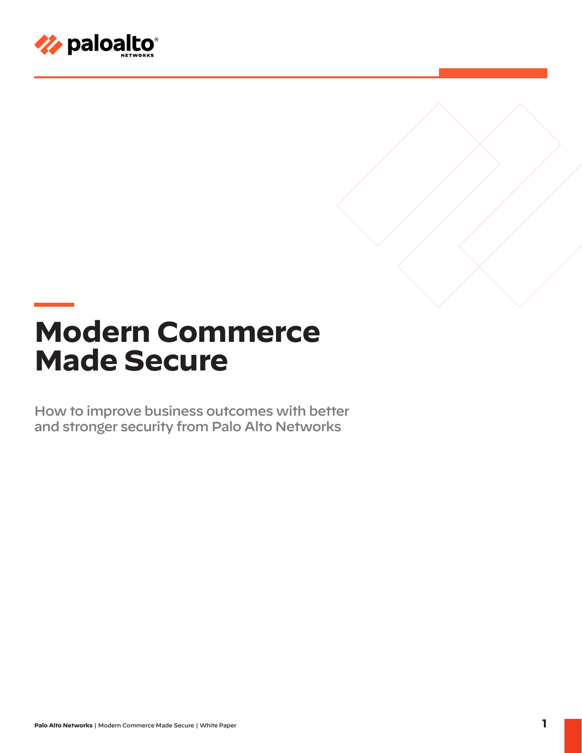

# **Modern Commerce Made Secure**

How to improve business outcomes with better and stronger security from Palo Alto Networks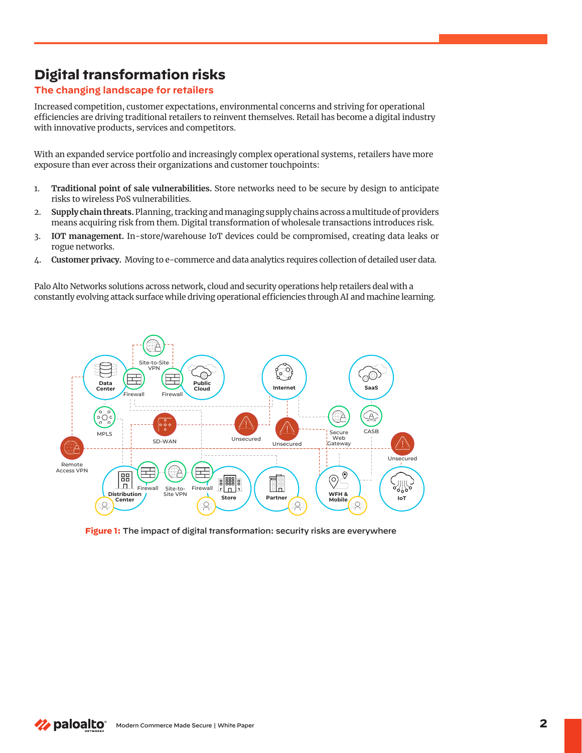# **Digital transformation risks**

### **The changing landscape for retailers**

Increased competition, customer expectations, environmental concerns and striving for operational efficiencies are driving traditional retailers to reinvent themselves. Retail has become a digital industry with innovative products, services and competitors.

With an expanded service portfolio and increasingly complex operational systems, retailers have more exposure than ever across their organizations and customer touchpoints:

- 1. **Traditional point of sale vulnerabilities.** Store networks need to be secure by design to anticipate risks to wireless PoS vulnerabilities.
- 2. **Supply chain threats.** Planning, tracking and managing supply chains across a multitude of providers means acquiring risk from them. Digital transformation of wholesale transactions introduces risk.
- 3. **IOT management.** In-store/warehouse IoT devices could be compromised, creating data leaks or rogue networks.
- 4. **Customer privacy.** Moving to e-commerce and data analytics requires collection of detailed user data.

Palo Alto Networks solutions across network, cloud and security operations help retailers deal with a constantly evolving attack surface while driving operational efficiencies through AI and machine learning.



**Figure 1:** The impact of digital transformation: security risks are everywhere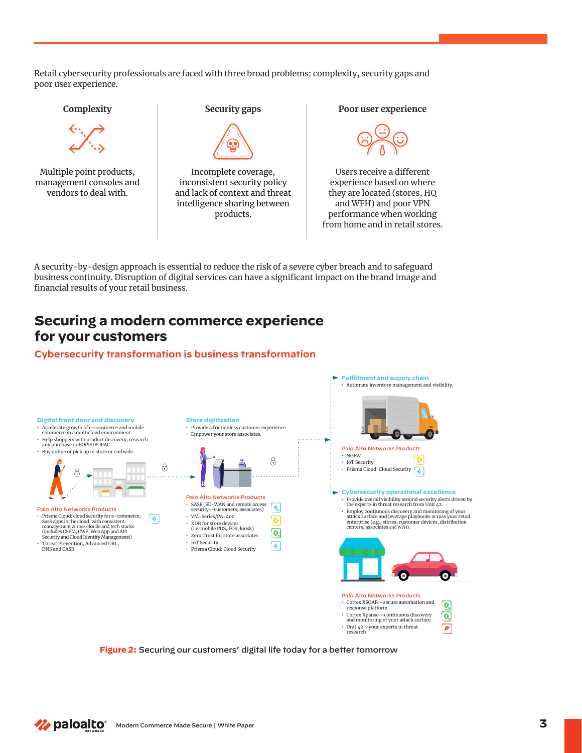Retail cybersecurity professionals are faced with three broad problems: complexity, security gaps and poor user experience.



A security-by-design approach is essential to reduce the risk of a severe cyber breach and to safeguard business continuity. Disruption of digital services can have a significant impact on the brand image and financial results of your retail business.

## **Securing a modern commerce experience for your customers**

#### **Cybersecurity transformation is business transformation**



**Figure 2:** Securing our customers' digital life today for a better tomorrow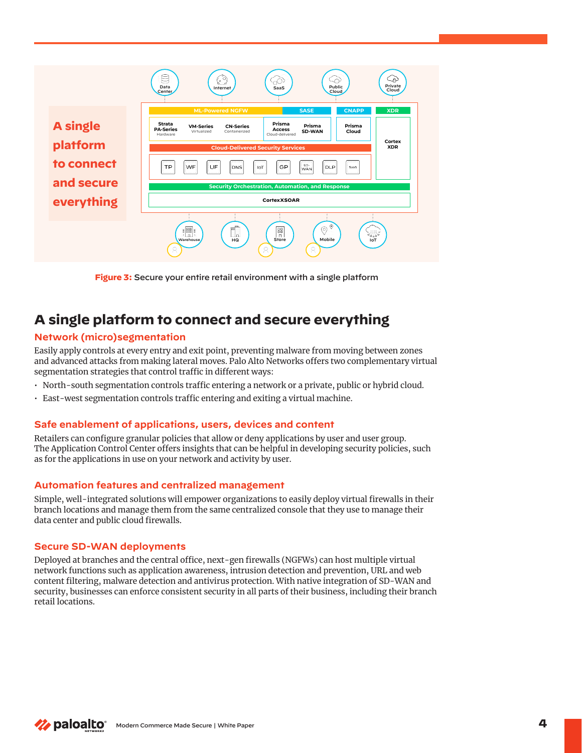

**Figure 3:** Secure your entire retail environment with a single platform

## **A single platform to connect and secure everything**

#### **Network (micro)segmentation**

Easily apply controls at every entry and exit point, preventing malware from moving between zones and advanced attacks from making lateral moves. Palo Alto Networks offers two complementary virtual segmentation strategies that control traffic in different ways:

- North-south segmentation controls traffic entering a network or a private, public or hybrid cloud.
- East-west segmentation controls traffic entering and exiting a virtual machine.

#### **Safe enablement of applications, users, devices and content**

Retailers can configure granular policies that allow or deny applications by user and user group. The Application Control Center offers insights that can be helpful in developing security policies, such as for the applications in use on your network and activity by user.

#### **Automation features and centralized management**

Simple, well-integrated solutions will empower organizations to easily deploy virtual firewalls in their branch locations and manage them from the same centralized console that they use to manage their data center and public cloud firewalls.

#### **Secure SD-WAN deployments**

Deployed at branches and the central office, next-gen firewalls (NGFWs) can host multiple virtual network functions such as application awareness, intrusion detection and prevention, URL and web content filtering, malware detection and antivirus protection. With native integration of SD-WAN and security, businesses can enforce consistent security in all parts of their business, including their branch retail locations.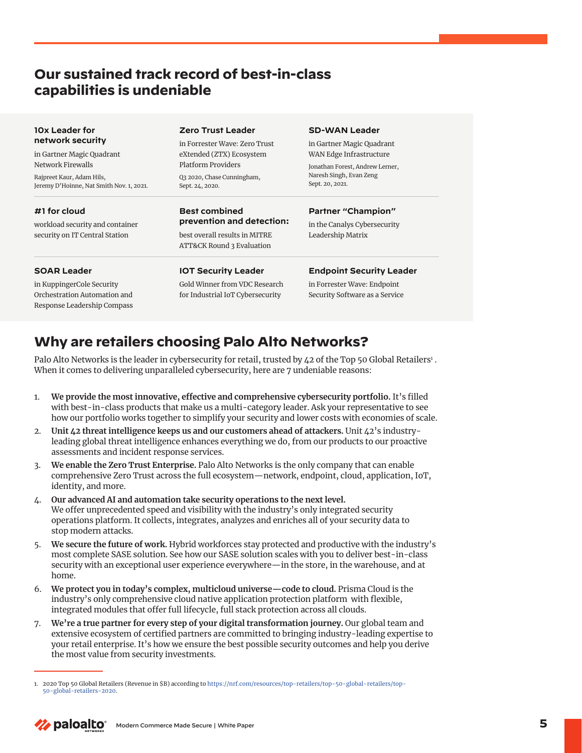## **Our sustained track record of best-in-class capabilities is undeniable**

| 10x Leader for<br>network security<br>in Gartner Magic Quadrant<br>Network Firewalls<br>Rajpreet Kaur, Adam Hils,<br>Jeremy D'Hoinne, Nat Smith Nov. 1, 2021. | <b>Zero Trust Leader</b>                                                                                                                | <b>SD-WAN Leader</b>                                                                                                                  |                                                                   |                                                                                                    |                                                   |
|---------------------------------------------------------------------------------------------------------------------------------------------------------------|-----------------------------------------------------------------------------------------------------------------------------------------|---------------------------------------------------------------------------------------------------------------------------------------|-------------------------------------------------------------------|----------------------------------------------------------------------------------------------------|---------------------------------------------------|
|                                                                                                                                                               | in Forrester Wave: Zero Trust<br>eXtended (ZTX) Ecosystem<br><b>Platform Providers</b><br>Q3 2020, Chase Cunningham,<br>Sept. 24, 2020. | in Gartner Magic Quadrant<br>WAN Edge Infrastructure<br>Jonathan Forest, Andrew Lerner,<br>Naresh Singh, Evan Zeng<br>Sept. 20, 2021. |                                                                   |                                                                                                    |                                                   |
|                                                                                                                                                               |                                                                                                                                         |                                                                                                                                       | #1 for cloud                                                      | <b>Best combined</b>                                                                               | Partner "Champion"                                |
|                                                                                                                                                               |                                                                                                                                         |                                                                                                                                       | workload security and container<br>security on IT Central Station | prevention and detection:<br>best overall results in MITRE<br><b>ATT&amp;CK Round 3 Evaluation</b> | in the Canalys Cybersecurity<br>Leadership Matrix |
|                                                                                                                                                               |                                                                                                                                         |                                                                                                                                       |                                                                   |                                                                                                    |                                                   |
|                                                                                                                                                               | $Q - 11 \pi r$                                                                                                                          | to Pennester Witches Pu de club.                                                                                                      |                                                                   |                                                                                                    |                                                   |

in KuppingerCole Security Orchestration Automation and Response Leadership Compass

Gold Winner from VDC Research for Industrial IoT Cybersecurity

in Forrester Wave: Endpoint Security Software as a Service

# **Why are retailers choosing Palo Alto Networks?**

Palo Alto Networks is the leader in cybersecurity for retail, trusted by 42 of the Top 50 Global Retailers<sup>1</sup> . When it comes to delivering unparalleled cybersecurity, here are 7 undeniable reasons:

- 1. **We provide the most innovative, effective and comprehensive cybersecurity portfolio.** It's filled with best-in-class products that make us a multi-category leader. Ask your representative to see how our portfolio works together to simplify your security and lower costs with economies of scale.
- 2. **Unit 42 threat intelligence keeps us and our customers ahead of attackers.** Unit 42's industryleading global threat intelligence enhances everything we do, from our products to our proactive assessments and incident response services.
- 3. **We enable the Zero Trust Enterprise.** Palo Alto Networks is the only company that can enable comprehensive Zero Trust across the full ecosystem—network, endpoint, cloud, application, IoT, identity, and more.
- 4. **Our advanced AI and automation take security operations to the next level.**  We offer unprecedented speed and visibility with the industry's only integrated security operations platform. It collects, integrates, analyzes and enriches all of your security data to stop modern attacks.
- 5. **We secure the future of work.** Hybrid workforces stay protected and productive with the industry's most complete SASE solution. See how our SASE solution scales with you to deliver best-in-class security with an exceptional user experience everywhere—in the store, in the warehouse, and at home.
- 6. **We protect you in today's complex, multicloud universe—code to cloud.** Prisma Cloud is the industry's only comprehensive cloud native application protection platform with flexible, integrated modules that offer full lifecycle, full stack protection across all clouds.
- 7. **We're a true partner for every step of your digital transformation journey.** Our global team and extensive ecosystem of certified partners are committed to bringing industry-leading expertise to your retail enterprise. It's how we ensure the best possible security outcomes and help you derive the most value from security investments.

<sup>1. 2020</sup> Top 50 Global Retailers (Revenue in \$B) according to [https://nrf.com/resources/top-retailers/top-50-global-retailers/top-](https://nrf.com/resources/top-retailers/top-50-global-retailers/top-50-global-retailers-2020)[50-global-retailers-2020.](https://nrf.com/resources/top-retailers/top-50-global-retailers/top-50-global-retailers-2020)

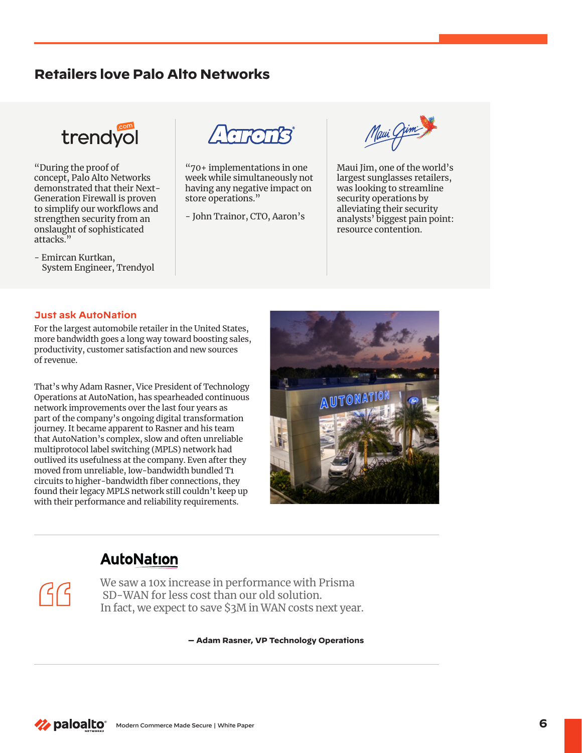## **Retailers love Palo Alto Networks**



"During the proof of concept, Palo Alto Networks demonstrated that their Next-Generation Firewall is proven to simplify our workflows and strengthen security from an onslaught of sophisticated attacks."

- Emircan Kurtkan, System Engineer, Trendyol



"70+ implementations in one week while simultaneously not having any negative impact on store operations."

- John Trainor, CTO, Aaron's

Maui Gim

Maui Jim, one of the world's largest sunglasses retailers, was looking to streamline security operations by alleviating their security analysts' biggest pain point: resource contention.

#### **Just ask AutoNation**

 $(5)$ 

For the largest automobile retailer in the United States, more bandwidth goes a long way toward boosting sales, productivity, customer satisfaction and new sources of revenue.

That's why Adam Rasner, Vice President of Technology Operations at AutoNation, has spearheaded continuous network improvements over the last four years as part of the company's ongoing digital transformation journey. It became apparent to Rasner and his team that AutoNation's complex, slow and often unreliable multiprotocol label switching (MPLS) network had outlived its usefulness at the company. Even after they moved from unreliable, low-bandwidth bundled T1 circuits to higher-bandwidth fiber connections, they found their legacy MPLS network still couldn't keep up with their performance and reliability requirements.



## **AutoNation**

We saw a 10x increase in performance with Prisma SD-WAN for less cost than our old solution. In fact, we expect to save \$3M in WAN costs next year.

**— Adam Rasner, VP Technology Operations**